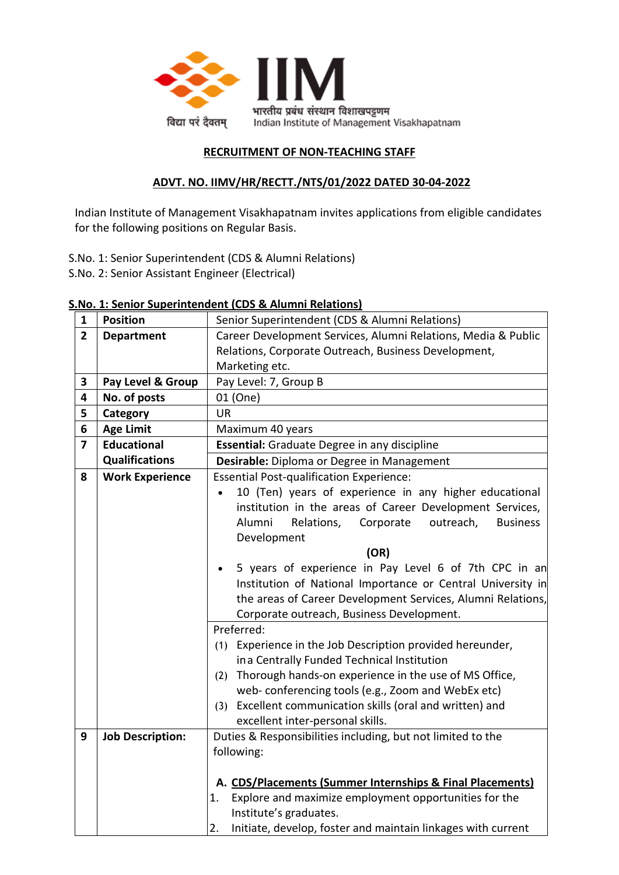

# **RECRUITMENT OF NON-TEACHING STAFF**

# **ADVT. NO. IIMV/HR/RECTT./NTS/01/2022 DATED 30-04-2022**

Indian Institute of Management Visakhapatnam invites applications from eligible candidates for the following positions on Regular Basis.

- S.No. 1: Senior Superintendent (CDS & Alumni Relations)
- S.No. 2: Senior Assistant Engineer (Electrical)

|                         |                         | <u>1. Senior Superintenuent (CDS &amp; Alumni Relations)</u>        |  |  |  |  |  |  |
|-------------------------|-------------------------|---------------------------------------------------------------------|--|--|--|--|--|--|
| 1                       | <b>Position</b>         | Senior Superintendent (CDS & Alumni Relations)                      |  |  |  |  |  |  |
| $\overline{2}$          | <b>Department</b>       | Career Development Services, Alumni Relations, Media & Public       |  |  |  |  |  |  |
|                         |                         | Relations, Corporate Outreach, Business Development,                |  |  |  |  |  |  |
|                         |                         | Marketing etc.                                                      |  |  |  |  |  |  |
| $\overline{\mathbf{3}}$ | Pay Level & Group       | Pay Level: 7, Group B                                               |  |  |  |  |  |  |
| 4                       | No. of posts            | 01 (One)                                                            |  |  |  |  |  |  |
| 5                       | Category                | <b>UR</b>                                                           |  |  |  |  |  |  |
| 6                       | <b>Age Limit</b>        | Maximum 40 years                                                    |  |  |  |  |  |  |
| $\overline{\mathbf{z}}$ | <b>Educational</b>      | <b>Essential:</b> Graduate Degree in any discipline                 |  |  |  |  |  |  |
|                         | <b>Qualifications</b>   | Desirable: Diploma or Degree in Management                          |  |  |  |  |  |  |
| 8                       | <b>Work Experience</b>  | <b>Essential Post-qualification Experience:</b>                     |  |  |  |  |  |  |
|                         |                         | 10 (Ten) years of experience in any higher educational<br>$\bullet$ |  |  |  |  |  |  |
|                         |                         | institution in the areas of Career Development Services,            |  |  |  |  |  |  |
|                         |                         | Alumni<br>Relations,<br>Corporate<br>outreach,<br><b>Business</b>   |  |  |  |  |  |  |
|                         |                         | Development                                                         |  |  |  |  |  |  |
|                         |                         | (OR)                                                                |  |  |  |  |  |  |
|                         |                         | 5 years of experience in Pay Level 6 of 7th CPC in an               |  |  |  |  |  |  |
|                         |                         | Institution of National Importance or Central University in         |  |  |  |  |  |  |
|                         |                         | the areas of Career Development Services, Alumni Relations,         |  |  |  |  |  |  |
|                         |                         | Corporate outreach, Business Development.                           |  |  |  |  |  |  |
|                         |                         | Preferred:                                                          |  |  |  |  |  |  |
|                         |                         | (1) Experience in the Job Description provided hereunder,           |  |  |  |  |  |  |
|                         |                         | ina Centrally Funded Technical Institution                          |  |  |  |  |  |  |
|                         |                         | (2) Thorough hands-on experience in the use of MS Office,           |  |  |  |  |  |  |
|                         |                         | web- conferencing tools (e.g., Zoom and WebEx etc)                  |  |  |  |  |  |  |
|                         |                         | Excellent communication skills (oral and written) and<br>(3)        |  |  |  |  |  |  |
|                         |                         | excellent inter-personal skills.                                    |  |  |  |  |  |  |
| 9                       | <b>Job Description:</b> | Duties & Responsibilities including, but not limited to the         |  |  |  |  |  |  |
|                         |                         | following:                                                          |  |  |  |  |  |  |
|                         |                         |                                                                     |  |  |  |  |  |  |
|                         |                         | A. CDS/Placements (Summer Internships & Final Placements)           |  |  |  |  |  |  |
|                         |                         | Explore and maximize employment opportunities for the<br>1.         |  |  |  |  |  |  |
|                         |                         | Institute's graduates.                                              |  |  |  |  |  |  |
|                         |                         | Initiate, develop, foster and maintain linkages with current<br>2.  |  |  |  |  |  |  |

### **S.No. 1: Senior Superintendent (CDS & Alumni Relations)**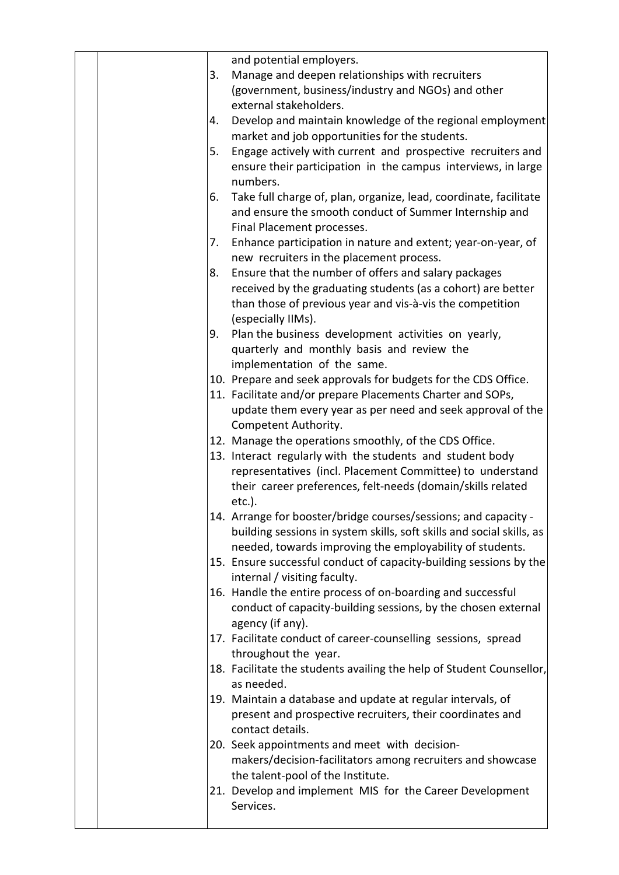|  | and potential employers.<br>Manage and deepen relationships with recruiters<br>3.<br>(government, business/industry and NGOs) and other<br>external stakeholders.<br>Develop and maintain knowledge of the regional employment<br>4.<br>market and job opportunities for the students.<br>Engage actively with current and prospective recruiters and<br>5.<br>ensure their participation in the campus interviews, in large<br>numbers.<br>Take full charge of, plan, organize, lead, coordinate, facilitate<br>6.<br>and ensure the smooth conduct of Summer Internship and<br>Final Placement processes.<br>Enhance participation in nature and extent; year-on-year, of<br>7.<br>new recruiters in the placement process.<br>Ensure that the number of offers and salary packages<br>8.<br>received by the graduating students (as a cohort) are better<br>than those of previous year and vis-à-vis the competition<br>(especially IIMs).<br>Plan the business development activities on yearly,<br>9.<br>quarterly and monthly basis and review the<br>implementation of the same.<br>10. Prepare and seek approvals for budgets for the CDS Office.<br>11. Facilitate and/or prepare Placements Charter and SOPs,<br>update them every year as per need and seek approval of the<br>Competent Authority.<br>12. Manage the operations smoothly, of the CDS Office.<br>13. Interact regularly with the students and student body<br>representatives (incl. Placement Committee) to understand<br>their career preferences, felt-needs (domain/skills related<br>etc.).<br>14. Arrange for booster/bridge courses/sessions; and capacity<br>building sessions in system skills, soft skills and social skills, as<br>needed, towards improving the employability of students.<br>15. Ensure successful conduct of capacity-building sessions by the<br>internal / visiting faculty.<br>16. Handle the entire process of on-boarding and successful<br>conduct of capacity-building sessions, by the chosen external<br>agency (if any).<br>17. Facilitate conduct of career-counselling sessions, spread<br>throughout the year.<br>18. Facilitate the students availing the help of Student Counsellor,<br>as needed.<br>19. Maintain a database and update at regular intervals, of<br>present and prospective recruiters, their coordinates and<br>contact details.<br>20. Seek appointments and meet with decision-<br>makers/decision-facilitators among recruiters and showcase<br>the talent-pool of the Institute.<br>21. Develop and implement MIS for the Career Development<br>Services. |
|--|----------------------------------------------------------------------------------------------------------------------------------------------------------------------------------------------------------------------------------------------------------------------------------------------------------------------------------------------------------------------------------------------------------------------------------------------------------------------------------------------------------------------------------------------------------------------------------------------------------------------------------------------------------------------------------------------------------------------------------------------------------------------------------------------------------------------------------------------------------------------------------------------------------------------------------------------------------------------------------------------------------------------------------------------------------------------------------------------------------------------------------------------------------------------------------------------------------------------------------------------------------------------------------------------------------------------------------------------------------------------------------------------------------------------------------------------------------------------------------------------------------------------------------------------------------------------------------------------------------------------------------------------------------------------------------------------------------------------------------------------------------------------------------------------------------------------------------------------------------------------------------------------------------------------------------------------------------------------------------------------------------------------------------------------------------------------------------------------------------------------------------------------------------------------------------------------------------------------------------------------------------------------------------------------------------------------------------------------------------------------------------------------------------------------------------------------------------------------------------------------------------------------------------------------------------------------------------------------------------|
|--|----------------------------------------------------------------------------------------------------------------------------------------------------------------------------------------------------------------------------------------------------------------------------------------------------------------------------------------------------------------------------------------------------------------------------------------------------------------------------------------------------------------------------------------------------------------------------------------------------------------------------------------------------------------------------------------------------------------------------------------------------------------------------------------------------------------------------------------------------------------------------------------------------------------------------------------------------------------------------------------------------------------------------------------------------------------------------------------------------------------------------------------------------------------------------------------------------------------------------------------------------------------------------------------------------------------------------------------------------------------------------------------------------------------------------------------------------------------------------------------------------------------------------------------------------------------------------------------------------------------------------------------------------------------------------------------------------------------------------------------------------------------------------------------------------------------------------------------------------------------------------------------------------------------------------------------------------------------------------------------------------------------------------------------------------------------------------------------------------------------------------------------------------------------------------------------------------------------------------------------------------------------------------------------------------------------------------------------------------------------------------------------------------------------------------------------------------------------------------------------------------------------------------------------------------------------------------------------------------------|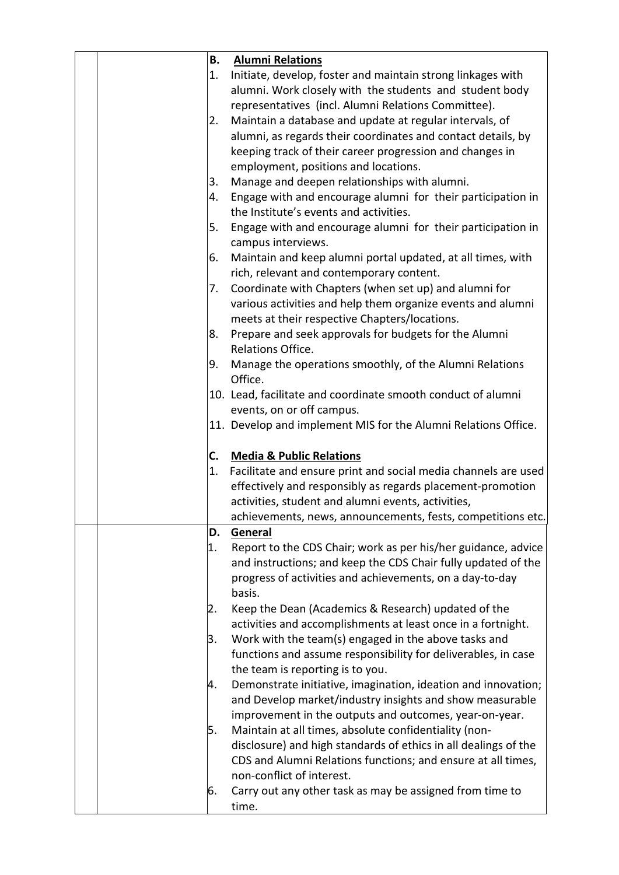| В. | <b>Alumni Relations</b>                                         |
|----|-----------------------------------------------------------------|
| 1. | Initiate, develop, foster and maintain strong linkages with     |
|    | alumni. Work closely with the students and student body         |
|    | representatives (incl. Alumni Relations Committee).             |
| 2. | Maintain a database and update at regular intervals, of         |
|    | alumni, as regards their coordinates and contact details, by    |
|    | keeping track of their career progression and changes in        |
|    | employment, positions and locations.                            |
| 3. | Manage and deepen relationships with alumni.                    |
| 4. | Engage with and encourage alumni for their participation in     |
|    | the Institute's events and activities.                          |
| 5. | Engage with and encourage alumni for their participation in     |
|    | campus interviews.                                              |
| 6. | Maintain and keep alumni portal updated, at all times, with     |
|    | rich, relevant and contemporary content.                        |
| 7. | Coordinate with Chapters (when set up) and alumni for           |
|    | various activities and help them organize events and alumni     |
|    | meets at their respective Chapters/locations.                   |
| 8. | Prepare and seek approvals for budgets for the Alumni           |
|    | Relations Office.                                               |
| 9. | Manage the operations smoothly, of the Alumni Relations         |
|    | Office.                                                         |
|    | 10. Lead, facilitate and coordinate smooth conduct of alumni    |
|    | events, on or off campus.                                       |
|    | 11. Develop and implement MIS for the Alumni Relations Office.  |
|    |                                                                 |
| C. | <b>Media &amp; Public Relations</b>                             |
| 1. | Facilitate and ensure print and social media channels are used  |
|    | effectively and responsibly as regards placement-promotion      |
|    | activities, student and alumni events, activities,              |
|    | achievements, news, announcements, fests, competitions etc.     |
| D. | General                                                         |
| 1. | Report to the CDS Chair; work as per his/her guidance, advice   |
|    | and instructions; and keep the CDS Chair fully updated of the   |
|    | progress of activities and achievements, on a day-to-day        |
|    | basis.                                                          |
| 2. | Keep the Dean (Academics & Research) updated of the             |
|    | activities and accomplishments at least once in a fortnight.    |
| 3. | Work with the team(s) engaged in the above tasks and            |
|    | functions and assume responsibility for deliverables, in case   |
|    | the team is reporting is to you.                                |
| 4. | Demonstrate initiative, imagination, ideation and innovation;   |
|    | and Develop market/industry insights and show measurable        |
|    | improvement in the outputs and outcomes, year-on-year.          |
| 5. | Maintain at all times, absolute confidentiality (non-           |
|    | disclosure) and high standards of ethics in all dealings of the |
|    | CDS and Alumni Relations functions; and ensure at all times,    |
|    | non-conflict of interest.                                       |
| 6. | Carry out any other task as may be assigned from time to        |
|    | time.                                                           |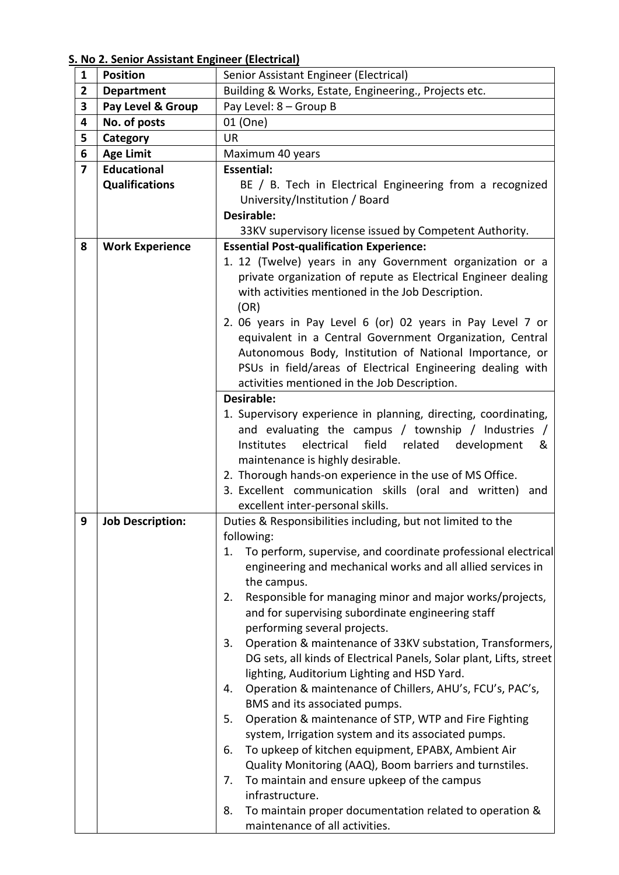**S. No 2. Senior Assistant Engineer (Electrical)**

| $\mathbf{1}$ | <b>Position</b>         | Senior Assistant Engineer (Electrical)                                                                              |  |  |  |  |  |  |
|--------------|-------------------------|---------------------------------------------------------------------------------------------------------------------|--|--|--|--|--|--|
| 2            | <b>Department</b>       | Building & Works, Estate, Engineering., Projects etc.                                                               |  |  |  |  |  |  |
| 3            | Pay Level & Group       | Pay Level: 8 - Group B                                                                                              |  |  |  |  |  |  |
| 4            | No. of posts            | 01 (One)                                                                                                            |  |  |  |  |  |  |
| 5            | Category                | <b>UR</b>                                                                                                           |  |  |  |  |  |  |
| 6            | <b>Age Limit</b>        | Maximum 40 years                                                                                                    |  |  |  |  |  |  |
| 7            | <b>Educational</b>      | <b>Essential:</b>                                                                                                   |  |  |  |  |  |  |
|              | <b>Qualifications</b>   | BE / B. Tech in Electrical Engineering from a recognized                                                            |  |  |  |  |  |  |
|              |                         | University/Institution / Board                                                                                      |  |  |  |  |  |  |
|              |                         | Desirable:                                                                                                          |  |  |  |  |  |  |
|              |                         | 33KV supervisory license issued by Competent Authority.                                                             |  |  |  |  |  |  |
| 8            | <b>Work Experience</b>  | <b>Essential Post-qualification Experience:</b>                                                                     |  |  |  |  |  |  |
|              |                         | 1. 12 (Twelve) years in any Government organization or a                                                            |  |  |  |  |  |  |
|              |                         | private organization of repute as Electrical Engineer dealing                                                       |  |  |  |  |  |  |
|              |                         | with activities mentioned in the Job Description.                                                                   |  |  |  |  |  |  |
|              |                         | (OR)                                                                                                                |  |  |  |  |  |  |
|              |                         | 2. 06 years in Pay Level 6 (or) 02 years in Pay Level 7 or                                                          |  |  |  |  |  |  |
|              |                         | equivalent in a Central Government Organization, Central<br>Autonomous Body, Institution of National Importance, or |  |  |  |  |  |  |
|              |                         | PSUs in field/areas of Electrical Engineering dealing with                                                          |  |  |  |  |  |  |
|              |                         | activities mentioned in the Job Description.                                                                        |  |  |  |  |  |  |
|              |                         |                                                                                                                     |  |  |  |  |  |  |
|              |                         | Desirable:<br>1. Supervisory experience in planning, directing, coordinating,                                       |  |  |  |  |  |  |
|              |                         | and evaluating the campus / township / Industries /                                                                 |  |  |  |  |  |  |
|              |                         | electrical<br>field<br>Institutes<br>related<br>development<br>&                                                    |  |  |  |  |  |  |
|              |                         | maintenance is highly desirable.                                                                                    |  |  |  |  |  |  |
|              |                         | 2. Thorough hands-on experience in the use of MS Office.                                                            |  |  |  |  |  |  |
|              |                         | 3. Excellent communication skills (oral and written)<br>and                                                         |  |  |  |  |  |  |
|              |                         | excellent inter-personal skills.                                                                                    |  |  |  |  |  |  |
| 9            | <b>Job Description:</b> | Duties & Responsibilities including, but not limited to the                                                         |  |  |  |  |  |  |
|              |                         | following:                                                                                                          |  |  |  |  |  |  |
|              |                         | To perform, supervise, and coordinate professional electrical<br>1.                                                 |  |  |  |  |  |  |
|              |                         | engineering and mechanical works and all allied services in                                                         |  |  |  |  |  |  |
|              |                         | the campus.                                                                                                         |  |  |  |  |  |  |
|              |                         | Responsible for managing minor and major works/projects,<br>2.                                                      |  |  |  |  |  |  |
|              |                         | and for supervising subordinate engineering staff                                                                   |  |  |  |  |  |  |
|              |                         | performing several projects.                                                                                        |  |  |  |  |  |  |
|              |                         | Operation & maintenance of 33KV substation, Transformers,<br>3.                                                     |  |  |  |  |  |  |
|              |                         | DG sets, all kinds of Electrical Panels, Solar plant, Lifts, street                                                 |  |  |  |  |  |  |
|              |                         | lighting, Auditorium Lighting and HSD Yard.                                                                         |  |  |  |  |  |  |
|              |                         | Operation & maintenance of Chillers, AHU's, FCU's, PAC's,<br>4.                                                     |  |  |  |  |  |  |
|              |                         | BMS and its associated pumps.<br>Operation & maintenance of STP, WTP and Fire Fighting<br>5.                        |  |  |  |  |  |  |
|              |                         | system, Irrigation system and its associated pumps.                                                                 |  |  |  |  |  |  |
|              |                         | To upkeep of kitchen equipment, EPABX, Ambient Air<br>6.                                                            |  |  |  |  |  |  |
|              |                         | Quality Monitoring (AAQ), Boom barriers and turnstiles.                                                             |  |  |  |  |  |  |
|              |                         | To maintain and ensure upkeep of the campus<br>7.                                                                   |  |  |  |  |  |  |
|              |                         | infrastructure.                                                                                                     |  |  |  |  |  |  |
|              |                         | To maintain proper documentation related to operation &<br>8.                                                       |  |  |  |  |  |  |
|              |                         | maintenance of all activities.                                                                                      |  |  |  |  |  |  |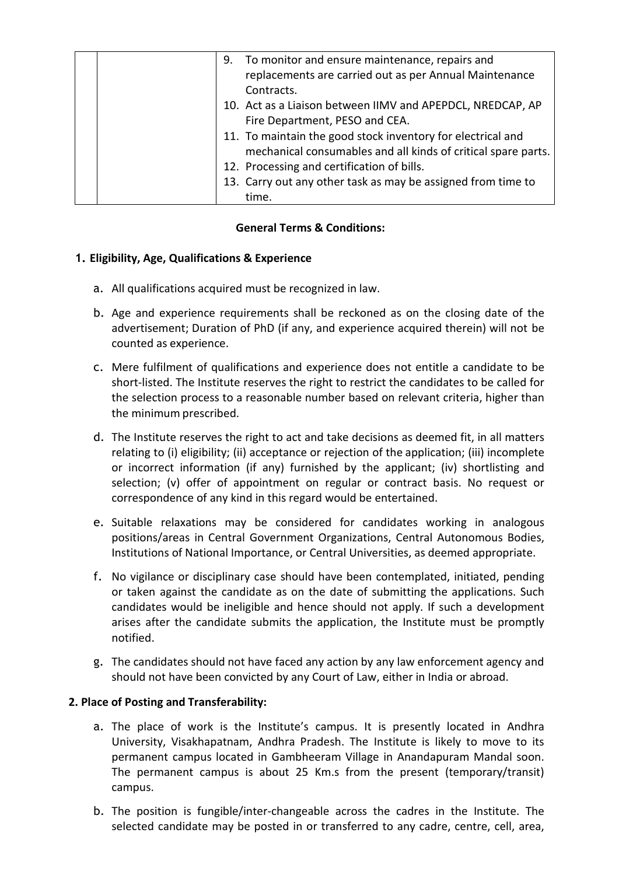|  | 9. To monitor and ensure maintenance, repairs and<br>replacements are carried out as per Annual Maintenance<br>Contracts.    |
|--|------------------------------------------------------------------------------------------------------------------------------|
|  | 10. Act as a Liaison between IIMV and APEPDCL, NREDCAP, AP<br>Fire Department, PESO and CEA.                                 |
|  | 11. To maintain the good stock inventory for electrical and<br>mechanical consumables and all kinds of critical spare parts. |
|  | 12. Processing and certification of bills.                                                                                   |
|  | 13. Carry out any other task as may be assigned from time to                                                                 |
|  | time.                                                                                                                        |

## **General Terms & Conditions:**

## **1. Eligibility, Age, Qualifications & Experience**

- a. All qualifications acquired must be recognized in law.
- b. Age and experience requirements shall be reckoned as on the closing date of the advertisement; Duration of PhD (if any, and experience acquired therein) will not be counted as experience.
- c. Mere fulfilment of qualifications and experience does not entitle a candidate to be short-listed. The Institute reserves the right to restrict the candidates to be called for the selection process to a reasonable number based on relevant criteria, higher than the minimum prescribed.
- d. The Institute reserves the right to act and take decisions as deemed fit, in all matters relating to (i) eligibility; (ii) acceptance or rejection of the application; (iii) incomplete or incorrect information (if any) furnished by the applicant; (iv) shortlisting and selection; (v) offer of appointment on regular or contract basis. No request or correspondence of any kind in this regard would be entertained.
- e. Suitable relaxations may be considered for candidates working in analogous positions/areas in Central Government Organizations, Central Autonomous Bodies, Institutions of National Importance, or Central Universities, as deemed appropriate.
- f. No vigilance or disciplinary case should have been contemplated, initiated, pending or taken against the candidate as on the date of submitting the applications. Such candidates would be ineligible and hence should not apply. If such a development arises after the candidate submits the application, the Institute must be promptly notified.
- g. The candidates should not have faced any action by any law enforcement agency and should not have been convicted by any Court of Law, either in India or abroad.

## **2. Place of Posting and Transferability:**

- a. The place of work is the Institute's campus. It is presently located in Andhra University, Visakhapatnam, Andhra Pradesh. The Institute is likely to move to its permanent campus located in Gambheeram Village in Anandapuram Mandal soon. The permanent campus is about 25 Km.s from the present (temporary/transit) campus.
- b. The position is fungible/inter-changeable across the cadres in the Institute. The selected candidate may be posted in or transferred to any cadre, centre, cell, area,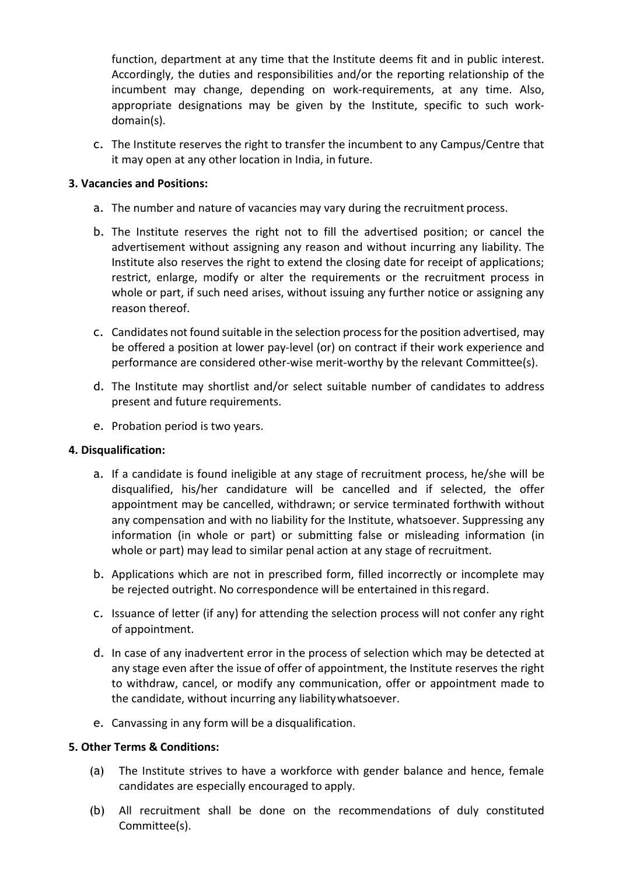function, department at any time that the Institute deems fit and in public interest. Accordingly, the duties and responsibilities and/or the reporting relationship of the incumbent may change, depending on work-requirements, at any time. Also, appropriate designations may be given by the Institute, specific to such workdomain(s).

c. The Institute reserves the right to transfer the incumbent to any Campus/Centre that it may open at any other location in India, in future.

### **3. Vacancies and Positions:**

- a. The number and nature of vacancies may vary during the recruitment process.
- b. The Institute reserves the right not to fill the advertised position; or cancel the advertisement without assigning any reason and without incurring any liability. The Institute also reserves the right to extend the closing date for receipt of applications; restrict, enlarge, modify or alter the requirements or the recruitment process in whole or part, if such need arises, without issuing any further notice or assigning any reason thereof.
- c. Candidates not found suitable in the selection processforthe position advertised, may be offered a position at lower pay-level (or) on contract if their work experience and performance are considered other-wise merit-worthy by the relevant Committee(s).
- d. The Institute may shortlist and/or select suitable number of candidates to address present and future requirements.
- e. Probation period is two years.

#### **4. Disqualification:**

- a. If a candidate is found ineligible at any stage of recruitment process, he/she will be disqualified, his/her candidature will be cancelled and if selected, the offer appointment may be cancelled, withdrawn; or service terminated forthwith without any compensation and with no liability for the Institute, whatsoever. Suppressing any information (in whole or part) or submitting false or misleading information (in whole or part) may lead to similar penal action at any stage of recruitment.
- b. Applications which are not in prescribed form, filled incorrectly or incomplete may be rejected outright. No correspondence will be entertained in thisregard.
- c. Issuance of letter (if any) for attending the selection process will not confer any right of appointment.
- d. In case of any inadvertent error in the process of selection which may be detected at any stage even after the issue of offer of appointment, the Institute reserves the right to withdraw, cancel, or modify any communication, offer or appointment made to the candidate, without incurring any liabilitywhatsoever.
- e. Canvassing in any form will be a disqualification.

#### **5. Other Terms & Conditions:**

- (a) The Institute strives to have a workforce with gender balance and hence, female candidates are especially encouraged to apply.
- (b) All recruitment shall be done on the recommendations of duly constituted Committee(s).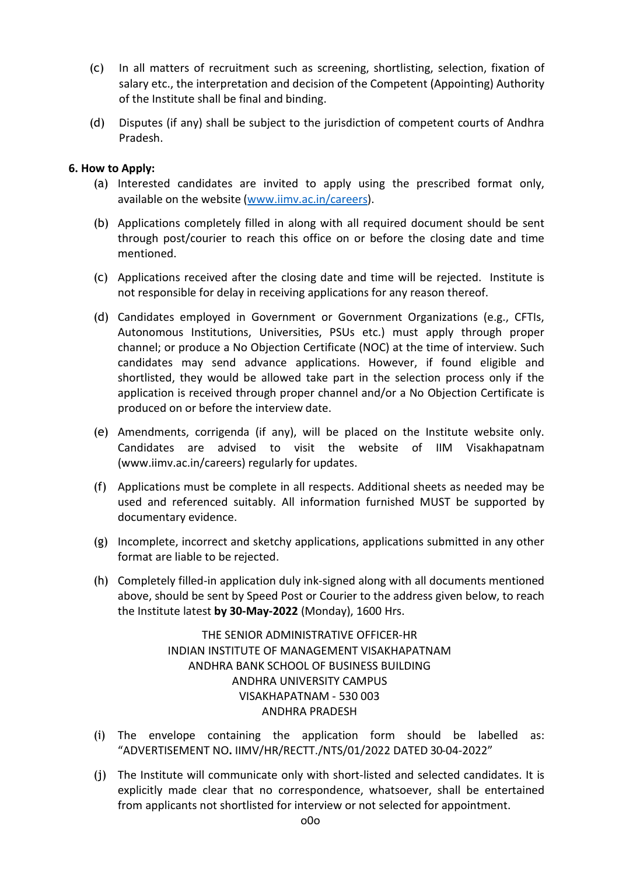- (c) In all matters of recruitment such as screening, shortlisting, selection, fixation of salary etc., the interpretation and decision of the Competent (Appointing) Authority of the Institute shall be final and binding.
- (d) Disputes (if any) shall be subject to the jurisdiction of competent courts of Andhra Pradesh.

### **6. How to Apply:**

- (a) Interested candidates are invited to apply using the prescribed format only, available on the website [\(www.iimv.ac.in/careers\).](http://www.iimv.ac.in/careers))
- (b) Applications completely filled in along with all required document should be sent through post/courier to reach this office on or before the closing date and time mentioned.
- (c) Applications received after the closing date and time will be rejected. Institute is not responsible for delay in receiving applications for any reason thereof.
- (d) Candidates employed in Government or Government Organizations (e.g., CFTIs, Autonomous Institutions, Universities, PSUs etc.) must apply through proper channel; or produce a No Objection Certificate (NOC) at the time of interview. Such candidates may send advance applications. However, if found eligible and shortlisted, they would be allowed take part in the selection process only if the application is received through proper channel and/or a No Objection Certificate is produced on or before the interview date.
- (e) Amendments, corrigenda (if any), will be placed on the Institute website only. Candidates are advised to visit the website of IIM Visakhapatnam [\(www.iimv.ac.in/careers\)](http://www.iimv.ac.in/careers)) regularly for updates.
- (f) Applications must be complete in all respects. Additional sheets as needed may be used and referenced suitably. All information furnished MUST be supported by documentary evidence.
- (g) Incomplete, incorrect and sketchy applications, applications submitted in any other format are liable to be rejected.
- (h) Completely filled-in application duly ink-signed along with all documents mentioned above, should be sent by Speed Post or Courier to the address given below, to reach the Institute latest **by 30-May-2022** (Monday), 1600 Hrs.

THE SENIOR ADMINISTRATIVE OFFICER-HR INDIAN INSTITUTE OF MANAGEMENT VISAKHAPATNAM ANDHRA BANK SCHOOL OF BUSINESS BUILDING ANDHRA UNIVERSITY CAMPUS VISAKHAPATNAM - 530 003 ANDHRA PRADESH

- (i) The envelope containing the application form should be labelled as: "ADVERTISEMENT NO**.** IIMV/HR/RECTT./NTS/01/2022 DATED 30-04-2022"
- (j) The Institute will communicate only with short-listed and selected candidates. It is explicitly made clear that no correspondence, whatsoever, shall be entertained from applicants not shortlisted for interview or not selected for appointment.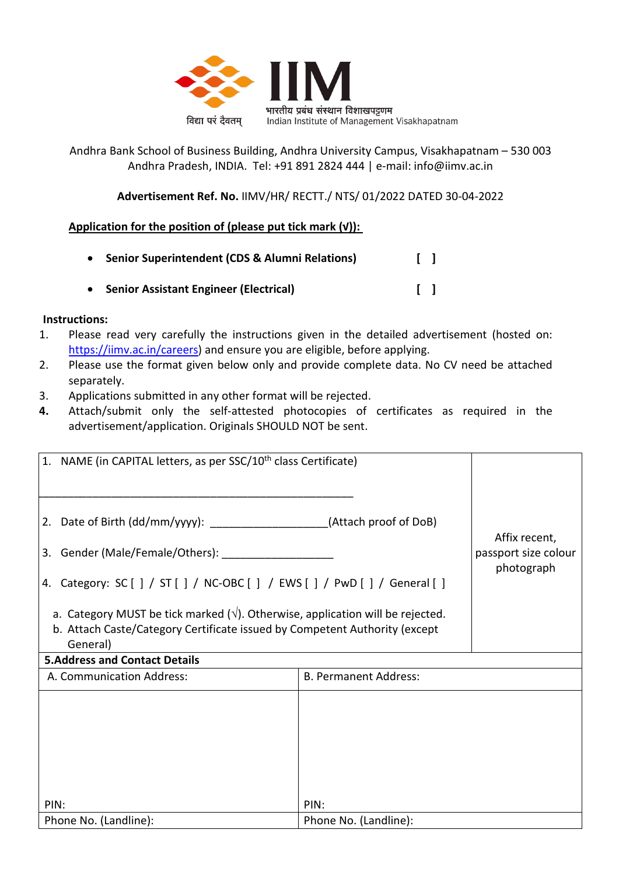

Andhra Bank School of Business Building, Andhra University Campus, Visakhapatnam – 530 003 Andhra Pradesh, INDIA. Tel: +91 891 2824 444 | e-mail: info@iimv.ac.in

**Advertisement Ref. No.** IIMV/HR/ RECTT./ NTS/ 01/2022 DATED 30-04-2022

# **Application for the position of (please put tick mark (√)):**

| • Senior Superintendent (CDS & Alumni Relations) |  |
|--------------------------------------------------|--|
| • Senior Assistant Engineer (Electrical)         |  |

## **Instructions:**

- 1. Please read very carefully the instructions given in the detailed advertisement (hosted on: [https://iimv.ac.in/careers\)](https://iimv.ac.in/careers) and ensure you are eligible, before applying.
- 2. Please use the format given below only and provide complete data. No CV need be attached separately.
- 3. Applications submitted in any other format will be rejected.
- **4.** Attach/submit only the self-attested photocopies of certificates as required in the advertisement/application. Originals SHOULD NOT be sent.

| 1. NAME (in CAPITAL letters, as per SSC/10 <sup>th</sup> class Certificate)                                                                                                      |                                    |               |
|----------------------------------------------------------------------------------------------------------------------------------------------------------------------------------|------------------------------------|---------------|
|                                                                                                                                                                                  |                                    |               |
| 2. Date of Birth (dd/mm/yyyy): ______________________(Attach proof of DoB)                                                                                                       |                                    | Affix recent, |
|                                                                                                                                                                                  | passport size colour<br>photograph |               |
| 4. Category: SC [ ] / ST [ ] / NC-OBC [ ] / EWS [ ] / PwD [ ] / General [ ]                                                                                                      |                                    |               |
| a. Category MUST be tick marked $(\sqrt{})$ . Otherwise, application will be rejected.<br>b. Attach Caste/Category Certificate issued by Competent Authority (except<br>General) |                                    |               |
| <b>5.Address and Contact Details</b>                                                                                                                                             |                                    |               |
| A. Communication Address:                                                                                                                                                        | <b>B. Permanent Address:</b>       |               |
|                                                                                                                                                                                  |                                    |               |
|                                                                                                                                                                                  |                                    |               |
|                                                                                                                                                                                  |                                    |               |
| PIN:                                                                                                                                                                             | PIN:                               |               |
| Phone No. (Landline):                                                                                                                                                            | Phone No. (Landline):              |               |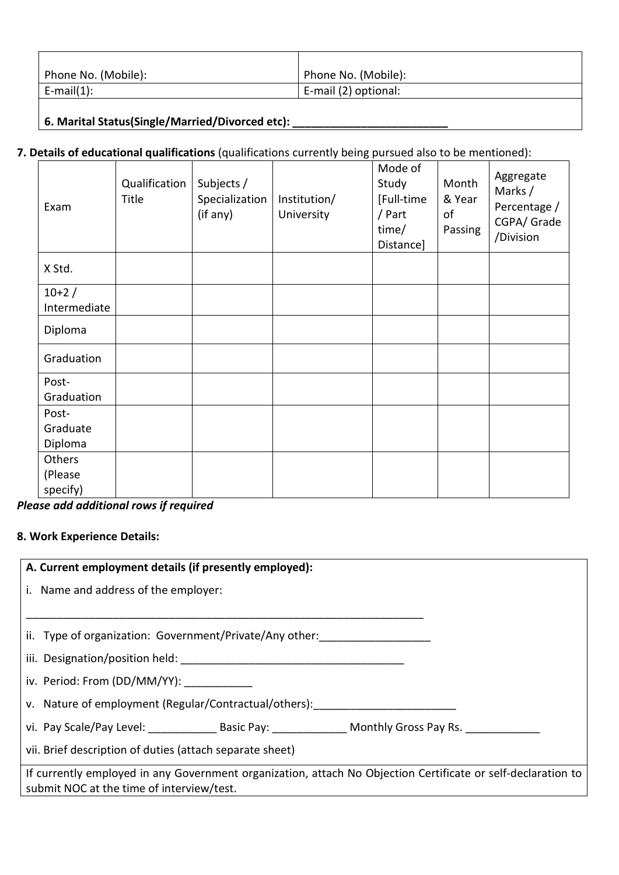| Phone No. (Mobile): | Phone No. (Mobile):  |
|---------------------|----------------------|
| $E$ -mail $(1)$ :   | E-mail (2) optional: |
|                     |                      |

**6. Marital Status(Single/Married/Divorced etc): \_\_\_\_\_\_\_\_\_\_\_\_\_\_\_\_\_\_\_\_\_\_\_\_\_** 

# **7. Details of educational qualifications** (qualifications currently being pursued also to be mentioned):

| Exam         | Qualification<br>Title | Subjects /<br>Specialization<br>(if any) | Institution/<br>University | Mode of<br>Study<br>[Full-time<br>/ Part<br>time/<br>Distance] | Month<br>& Year<br>of<br>Passing | Aggregate<br>Marks /<br>Percentage /<br>CGPA/ Grade<br>/Division |
|--------------|------------------------|------------------------------------------|----------------------------|----------------------------------------------------------------|----------------------------------|------------------------------------------------------------------|
| X Std.       |                        |                                          |                            |                                                                |                                  |                                                                  |
| $10+2/$      |                        |                                          |                            |                                                                |                                  |                                                                  |
| Intermediate |                        |                                          |                            |                                                                |                                  |                                                                  |
| Diploma      |                        |                                          |                            |                                                                |                                  |                                                                  |
| Graduation   |                        |                                          |                            |                                                                |                                  |                                                                  |
| Post-        |                        |                                          |                            |                                                                |                                  |                                                                  |
| Graduation   |                        |                                          |                            |                                                                |                                  |                                                                  |
| Post-        |                        |                                          |                            |                                                                |                                  |                                                                  |
| Graduate     |                        |                                          |                            |                                                                |                                  |                                                                  |
| Diploma      |                        |                                          |                            |                                                                |                                  |                                                                  |
| Others       |                        |                                          |                            |                                                                |                                  |                                                                  |
| (Please      |                        |                                          |                            |                                                                |                                  |                                                                  |
| specify)     |                        |                                          |                            |                                                                |                                  |                                                                  |

*Please add additional rows if required*

# **8. Work Experience Details:**

| A. Current employment details (if presently employed):                                                                                                    |
|-----------------------------------------------------------------------------------------------------------------------------------------------------------|
| i. Name and address of the employer:                                                                                                                      |
|                                                                                                                                                           |
| ii. Type of organization: Government/Private/Any other:                                                                                                   |
|                                                                                                                                                           |
| iv. Period: From (DD/MM/YY):                                                                                                                              |
| v. Nature of employment (Regular/Contractual/others):                                                                                                     |
| vi. Pay Scale/Pay Level: Basic Pay: Monthly Gross Pay Rs.                                                                                                 |
| vii. Brief description of duties (attach separate sheet)                                                                                                  |
| If currently employed in any Government organization, attach No Objection Certificate or self-declaration to<br>submit NOC at the time of interview/test. |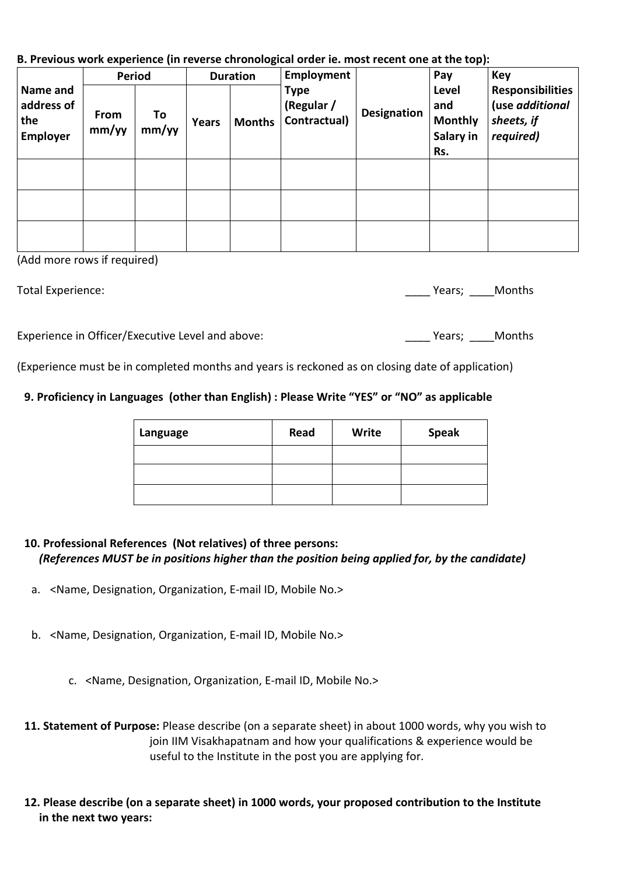**B. Previous work experience (in reverse chronological order ie. most recent one at the top):**

|                                                  | <b>Period</b> |             | <b>Duration</b> |               | Employment                                |             | Pay                                                | <b>Key</b>                                                            |
|--------------------------------------------------|---------------|-------------|-----------------|---------------|-------------------------------------------|-------------|----------------------------------------------------|-----------------------------------------------------------------------|
| Name and<br>address of<br>the<br><b>Employer</b> | From<br>mm/yy | To<br>mm/yy | <b>Years</b>    | <b>Months</b> | <b>Type</b><br>(Regular /<br>Contractual) | Designation | Level<br>and<br><b>Monthly</b><br>Salary in<br>Rs. | <b>Responsibilities</b><br>(use additional<br>sheets, if<br>required) |
|                                                  |               |             |                 |               |                                           |             |                                                    |                                                                       |
|                                                  |               |             |                 |               |                                           |             |                                                    |                                                                       |
|                                                  |               |             |                 |               |                                           |             |                                                    |                                                                       |

(Add more rows if required)

Total Experience: **Now are all the Contract Contract Contract Contract Contract Contract Contract Contract Contract Contract Contract Contract Contract Contract Contract Contract Contract Contract Contract Contract Contrac** 

Experience in Officer/Executive Level and above: <br>
Years; Months

(Experience must be in completed months and years is reckoned as on closing date of application)

# **9. Proficiency in Languages (other than English) : Please Write "YES" or "NO" as applicable**

| Language | Read | Write | <b>Speak</b> |
|----------|------|-------|--------------|
|          |      |       |              |
|          |      |       |              |
|          |      |       |              |

## **10. Professional References (Not relatives) of three persons:** *(References MUST be in positions higher than the position being applied for, by the candidate)*

- a. <Name, Designation, Organization, E-mail ID, Mobile No.>
- b. <Name, Designation, Organization, E-mail ID, Mobile No.>
	- c. <Name, Designation, Organization, E-mail ID, Mobile No.>
- **11. Statement of Purpose:** Please describe (on a separate sheet) in about 1000 words, why you wish to join IIM Visakhapatnam and how your qualifications & experience would be useful to the Institute in the post you are applying for.
- **12. Please describe (on a separate sheet) in 1000 words, your proposed contribution to the Institute in the next two years:**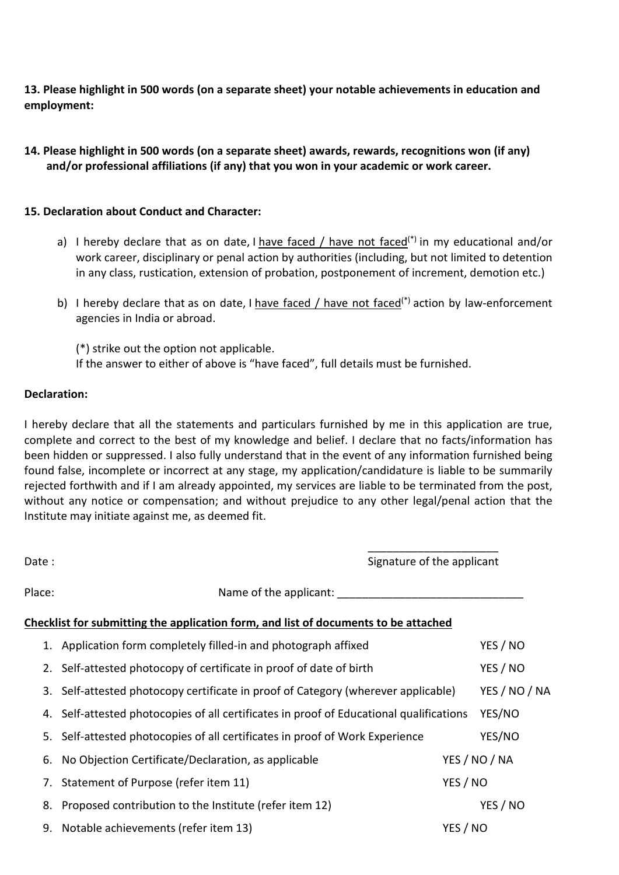**13. Please highlight in 500 words (on a separate sheet) your notable achievements in education and employment:**

**14. Please highlight in 500 words (on a separate sheet) awards, rewards, recognitions won (if any) and/or professional affiliations (if any) that you won in your academic or work career.**

#### **15. Declaration about Conduct and Character:**

- a) I hereby declare that as on date, I have faced / have not faced<sup>(\*)</sup> in my educational and/or work career, disciplinary or penal action by authorities (including, but not limited to detention in any class, rustication, extension of probation, postponement of increment, demotion etc.)
- b) I hereby declare that as on date, I have faced / have not faced<sup>(\*)</sup> action by law-enforcement agencies in India or abroad.

(\*) strike out the option not applicable. If the answer to either of above is "have faced", full details must be furnished.

#### **Declaration:**

I hereby declare that all the statements and particulars furnished by me in this application are true, complete and correct to the best of my knowledge and belief. I declare that no facts/information has been hidden or suppressed. I also fully understand that in the event of any information furnished being found false, incomplete or incorrect at any stage, my application/candidature is liable to be summarily rejected forthwith and if I am already appointed, my services are liable to be terminated from the post, without any notice or compensation; and without prejudice to any other legal/penal action that the Institute may initiate against me, as deemed fit.

| Date:  | Signature of the applicant                                                              |          |               |  |
|--------|-----------------------------------------------------------------------------------------|----------|---------------|--|
| Place: | Name of the applicant:                                                                  |          |               |  |
|        | Checklist for submitting the application form, and list of documents to be attached     |          |               |  |
|        | 1. Application form completely filled-in and photograph affixed                         |          | YES / NO      |  |
| 2.     | Self-attested photocopy of certificate in proof of date of birth                        |          | YES / NO      |  |
|        | 3. Self-attested photocopy certificate in proof of Category (wherever applicable)       |          | YES / NO / NA |  |
|        | 4. Self-attested photocopies of all certificates in proof of Educational qualifications |          | YES/NO        |  |
| 5.     | Self-attested photocopies of all certificates in proof of Work Experience               |          | YES/NO        |  |
| 6.     | No Objection Certificate/Declaration, as applicable                                     |          | YES / NO / NA |  |
| 7.     | Statement of Purpose (refer item 11)                                                    |          | YES / NO      |  |
| 8.     | Proposed contribution to the Institute (refer item 12)                                  |          | YES / NO      |  |
| 9.     | Notable achievements (refer item 13)                                                    | YES / NO |               |  |